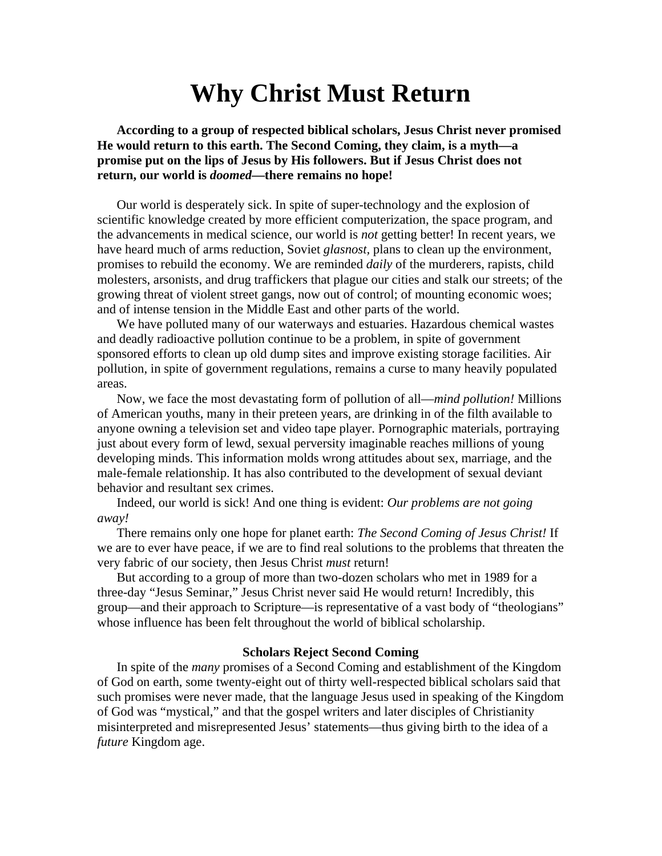# **Why Christ Must Return**

**According to a group of respected biblical scholars, Jesus Christ never promised He would return to this earth. The Second Coming, they claim, is a myth—a promise put on the lips of Jesus by His followers. But if Jesus Christ does not return, our world is** *doomed***—there remains no hope!** 

Our world is desperately sick. In spite of super-technology and the explosion of scientific knowledge created by more efficient computerization, the space program, and the advancements in medical science, our world is *not* getting better! In recent years, we have heard much of arms reduction, Soviet *glasnost,* plans to clean up the environment, promises to rebuild the economy. We are reminded *daily* of the murderers, rapists, child molesters, arsonists, and drug traffickers that plague our cities and stalk our streets; of the growing threat of violent street gangs, now out of control; of mounting economic woes; and of intense tension in the Middle East and other parts of the world.

We have polluted many of our waterways and estuaries. Hazardous chemical wastes and deadly radioactive pollution continue to be a problem, in spite of government sponsored efforts to clean up old dump sites and improve existing storage facilities. Air pollution, in spite of government regulations, remains a curse to many heavily populated areas.

Now, we face the most devastating form of pollution of all—*mind pollution!* Millions of American youths, many in their preteen years, are drinking in of the filth available to anyone owning a television set and video tape player. Pornographic materials, portraying just about every form of lewd, sexual perversity imaginable reaches millions of young developing minds. This information molds wrong attitudes about sex, marriage, and the male-female relationship. It has also contributed to the development of sexual deviant behavior and resultant sex crimes.

Indeed, our world is sick! And one thing is evident: *Our problems are not going away!*

There remains only one hope for planet earth: *The Second Coming of Jesus Christ!* If we are to ever have peace, if we are to find real solutions to the problems that threaten the very fabric of our society, then Jesus Christ *must* return!

But according to a group of more than two-dozen scholars who met in 1989 for a three-day "Jesus Seminar," Jesus Christ never said He would return! Incredibly, this group—and their approach to Scripture—is representative of a vast body of "theologians" whose influence has been felt throughout the world of biblical scholarship.

## **Scholars Reject Second Coming**

In spite of the *many* promises of a Second Coming and establishment of the Kingdom of God on earth, some twenty-eight out of thirty well-respected biblical scholars said that such promises were never made, that the language Jesus used in speaking of the Kingdom of God was "mystical," and that the gospel writers and later disciples of Christianity misinterpreted and misrepresented Jesus' statements—thus giving birth to the idea of a *future* Kingdom age.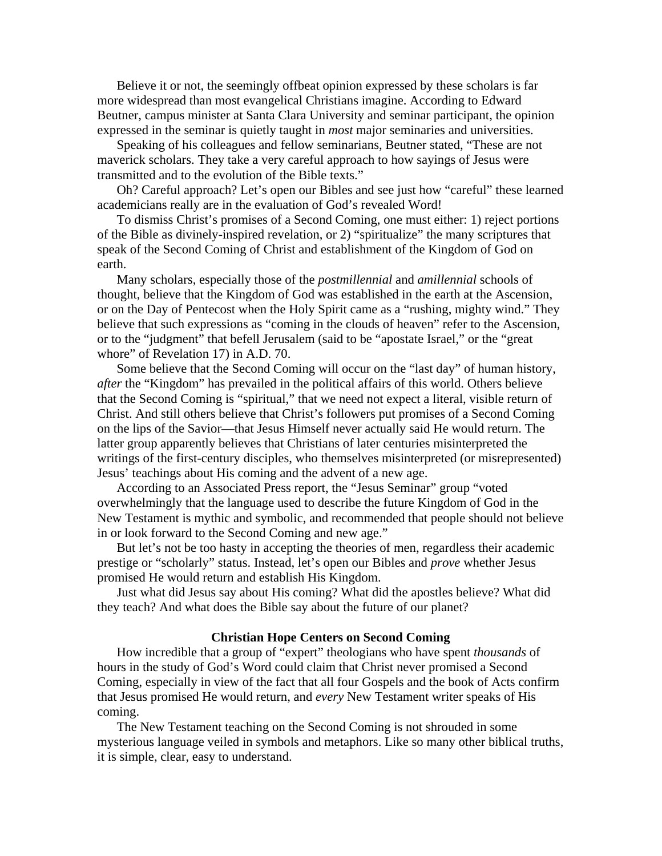Believe it or not, the seemingly offbeat opinion expressed by these scholars is far more widespread than most evangelical Christians imagine. According to Edward Beutner, campus minister at Santa Clara University and seminar participant, the opinion expressed in the seminar is quietly taught in *most* major seminaries and universities.

Speaking of his colleagues and fellow seminarians, Beutner stated, "These are not maverick scholars. They take a very careful approach to how sayings of Jesus were transmitted and to the evolution of the Bible texts."

Oh? Careful approach? Let's open our Bibles and see just how "careful" these learned academicians really are in the evaluation of God's revealed Word!

To dismiss Christ's promises of a Second Coming, one must either: 1) reject portions of the Bible as divinely-inspired revelation, or 2) "spiritualize" the many scriptures that speak of the Second Coming of Christ and establishment of the Kingdom of God on earth.

Many scholars, especially those of the *postmillennial* and *amillennial* schools of thought, believe that the Kingdom of God was established in the earth at the Ascension, or on the Day of Pentecost when the Holy Spirit came as a "rushing, mighty wind." They believe that such expressions as "coming in the clouds of heaven" refer to the Ascension, or to the "judgment" that befell Jerusalem (said to be "apostate Israel," or the "great whore" of Revelation 17) in A.D. 70.

Some believe that the Second Coming will occur on the "last day" of human history, *after* the "Kingdom" has prevailed in the political affairs of this world. Others believe that the Second Coming is "spiritual," that we need not expect a literal, visible return of Christ. And still others believe that Christ's followers put promises of a Second Coming on the lips of the Savior—that Jesus Himself never actually said He would return. The latter group apparently believes that Christians of later centuries misinterpreted the writings of the first-century disciples, who themselves misinterpreted (or misrepresented) Jesus' teachings about His coming and the advent of a new age.

According to an Associated Press report, the "Jesus Seminar" group "voted overwhelmingly that the language used to describe the future Kingdom of God in the New Testament is mythic and symbolic, and recommended that people should not believe in or look forward to the Second Coming and new age."

But let's not be too hasty in accepting the theories of men, regardless their academic prestige or "scholarly" status. Instead, let's open our Bibles and *prove* whether Jesus promised He would return and establish His Kingdom.

Just what did Jesus say about His coming? What did the apostles believe? What did they teach? And what does the Bible say about the future of our planet?

#### **Christian Hope Centers on Second Coming**

How incredible that a group of "expert" theologians who have spent *thousands* of hours in the study of God's Word could claim that Christ never promised a Second Coming, especially in view of the fact that all four Gospels and the book of Acts confirm that Jesus promised He would return, and *every* New Testament writer speaks of His coming.

The New Testament teaching on the Second Coming is not shrouded in some mysterious language veiled in symbols and metaphors. Like so many other biblical truths, it is simple, clear, easy to understand.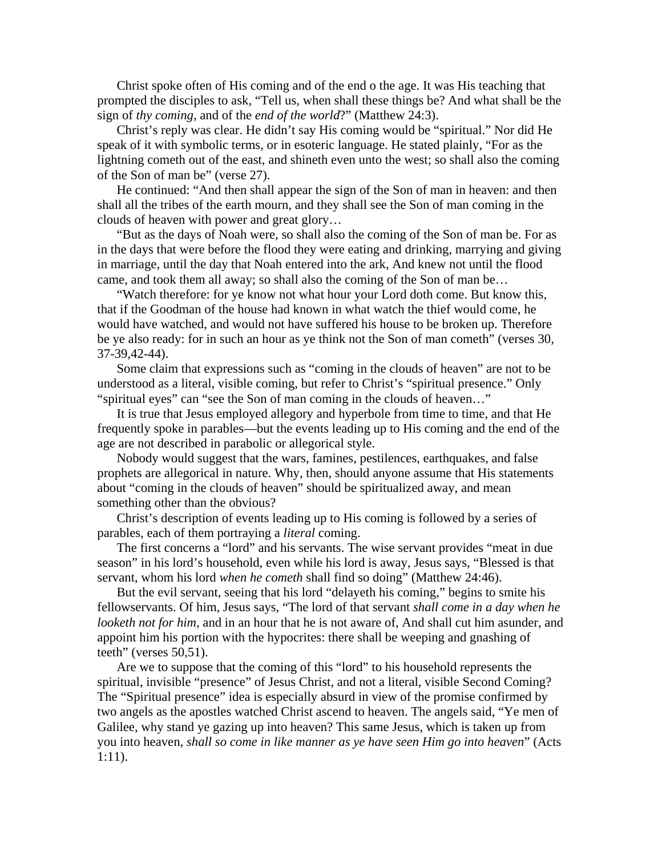Christ spoke often of His coming and of the end o the age. It was His teaching that prompted the disciples to ask, "Tell us, when shall these things be? And what shall be the sign of *thy coming,* and of the *end of the world*?" (Matthew 24:3).

Christ's reply was clear. He didn't say His coming would be "spiritual." Nor did He speak of it with symbolic terms, or in esoteric language. He stated plainly, "For as the lightning cometh out of the east, and shineth even unto the west; so shall also the coming of the Son of man be" (verse 27).

He continued: "And then shall appear the sign of the Son of man in heaven: and then shall all the tribes of the earth mourn, and they shall see the Son of man coming in the clouds of heaven with power and great glory…

"But as the days of Noah were, so shall also the coming of the Son of man be. For as in the days that were before the flood they were eating and drinking, marrying and giving in marriage, until the day that Noah entered into the ark, And knew not until the flood came, and took them all away; so shall also the coming of the Son of man be…

"Watch therefore: for ye know not what hour your Lord doth come. But know this, that if the Goodman of the house had known in what watch the thief would come, he would have watched, and would not have suffered his house to be broken up. Therefore be ye also ready: for in such an hour as ye think not the Son of man cometh" (verses 30, 37-39,42-44).

Some claim that expressions such as "coming in the clouds of heaven" are not to be understood as a literal, visible coming, but refer to Christ's "spiritual presence." Only "spiritual eyes" can "see the Son of man coming in the clouds of heaven…"

It is true that Jesus employed allegory and hyperbole from time to time, and that He frequently spoke in parables—but the events leading up to His coming and the end of the age are not described in parabolic or allegorical style.

Nobody would suggest that the wars, famines, pestilences, earthquakes, and false prophets are allegorical in nature. Why, then, should anyone assume that His statements about "coming in the clouds of heaven" should be spiritualized away, and mean something other than the obvious?

Christ's description of events leading up to His coming is followed by a series of parables, each of them portraying a *literal* coming.

The first concerns a "lord" and his servants. The wise servant provides "meat in due season" in his lord's household, even while his lord is away, Jesus says, "Blessed is that servant, whom his lord *when he cometh* shall find so doing" (Matthew 24:46).

But the evil servant, seeing that his lord "delayeth his coming," begins to smite his fellowservants. Of him, Jesus says, "The lord of that servant *shall come in a day when he looketh not for him,* and in an hour that he is not aware of, And shall cut him asunder, and appoint him his portion with the hypocrites: there shall be weeping and gnashing of teeth" (verses 50,51).

Are we to suppose that the coming of this "lord" to his household represents the spiritual, invisible "presence" of Jesus Christ, and not a literal, visible Second Coming? The "Spiritual presence" idea is especially absurd in view of the promise confirmed by two angels as the apostles watched Christ ascend to heaven. The angels said, "Ye men of Galilee, why stand ye gazing up into heaven? This same Jesus, which is taken up from you into heaven, *shall so come in like manner as ye have seen Him go into heaven*" (Acts 1:11).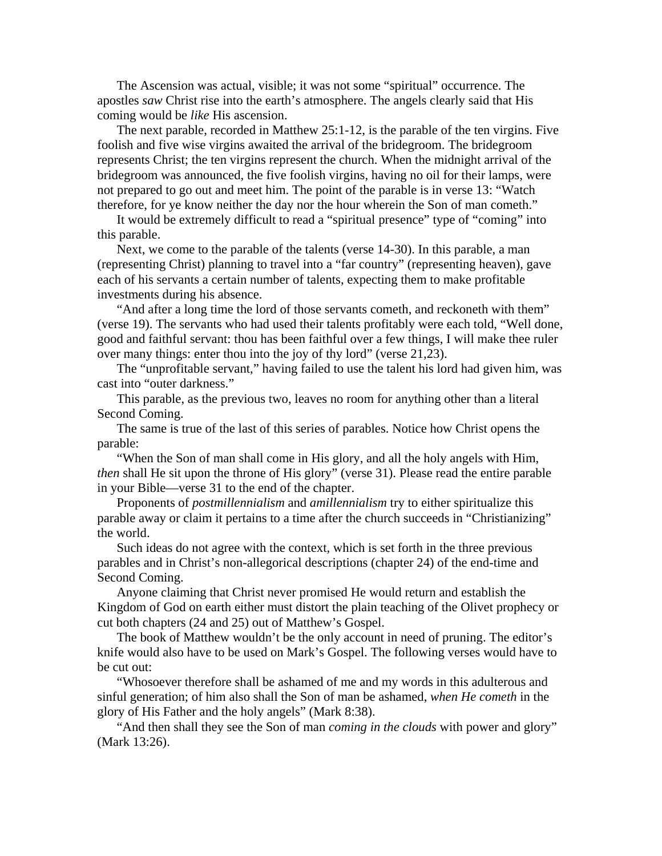The Ascension was actual, visible; it was not some "spiritual" occurrence. The apostles *saw* Christ rise into the earth's atmosphere. The angels clearly said that His coming would be *like* His ascension.

The next parable, recorded in Matthew 25:1-12, is the parable of the ten virgins. Five foolish and five wise virgins awaited the arrival of the bridegroom. The bridegroom represents Christ; the ten virgins represent the church. When the midnight arrival of the bridegroom was announced, the five foolish virgins, having no oil for their lamps, were not prepared to go out and meet him. The point of the parable is in verse 13: "Watch therefore, for ye know neither the day nor the hour wherein the Son of man cometh."

It would be extremely difficult to read a "spiritual presence" type of "coming" into this parable.

Next, we come to the parable of the talents (verse 14-30). In this parable, a man (representing Christ) planning to travel into a "far country" (representing heaven), gave each of his servants a certain number of talents, expecting them to make profitable investments during his absence.

"And after a long time the lord of those servants cometh, and reckoneth with them" (verse 19). The servants who had used their talents profitably were each told, "Well done, good and faithful servant: thou has been faithful over a few things, I will make thee ruler over many things: enter thou into the joy of thy lord" (verse 21,23).

The "unprofitable servant," having failed to use the talent his lord had given him, was cast into "outer darkness."

This parable, as the previous two, leaves no room for anything other than a literal Second Coming.

The same is true of the last of this series of parables. Notice how Christ opens the parable:

"When the Son of man shall come in His glory, and all the holy angels with Him, *then* shall He sit upon the throne of His glory" (verse 31). Please read the entire parable in your Bible—verse 31 to the end of the chapter.

Proponents of *postmillennialism* and *amillennialism* try to either spiritualize this parable away or claim it pertains to a time after the church succeeds in "Christianizing" the world.

Such ideas do not agree with the context, which is set forth in the three previous parables and in Christ's non-allegorical descriptions (chapter 24) of the end-time and Second Coming.

Anyone claiming that Christ never promised He would return and establish the Kingdom of God on earth either must distort the plain teaching of the Olivet prophecy or cut both chapters (24 and 25) out of Matthew's Gospel.

The book of Matthew wouldn't be the only account in need of pruning. The editor's knife would also have to be used on Mark's Gospel. The following verses would have to be cut out:

"Whosoever therefore shall be ashamed of me and my words in this adulterous and sinful generation; of him also shall the Son of man be ashamed, *when He cometh* in the glory of His Father and the holy angels" (Mark 8:38).

"And then shall they see the Son of man *coming in the clouds* with power and glory" (Mark 13:26).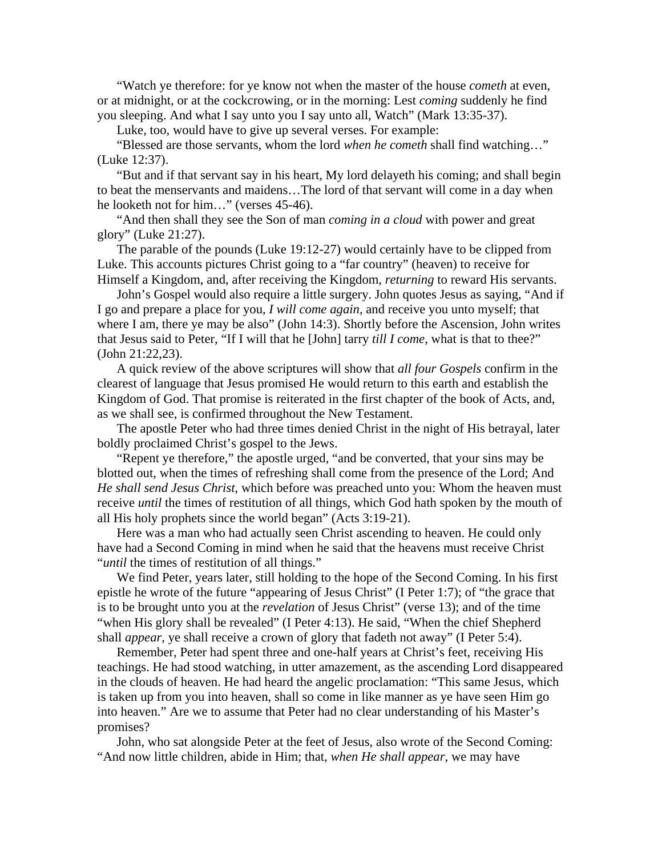"Watch ye therefore: for ye know not when the master of the house *cometh* at even, or at midnight, or at the cockcrowing, or in the morning: Lest *coming* suddenly he find you sleeping. And what I say unto you I say unto all, Watch" (Mark 13:35-37).

Luke, too, would have to give up several verses. For example:

"Blessed are those servants, whom the lord *when he cometh* shall find watching…" (Luke 12:37).

"But and if that servant say in his heart, My lord delayeth his coming; and shall begin to beat the menservants and maidens…The lord of that servant will come in a day when he looketh not for him…" (verses 45-46).

"And then shall they see the Son of man *coming in a cloud* with power and great glory" (Luke 21:27).

The parable of the pounds (Luke 19:12-27) would certainly have to be clipped from Luke. This accounts pictures Christ going to a "far country" (heaven) to receive for Himself a Kingdom, and, after receiving the Kingdom, *returning* to reward His servants.

John's Gospel would also require a little surgery. John quotes Jesus as saying, "And if I go and prepare a place for you, *I will come again*, and receive you unto myself; that where I am, there ye may be also" (John 14:3). Shortly before the Ascension, John writes that Jesus said to Peter, "If I will that he [John] tarry *till I come*, what is that to thee?" (John 21:22,23).

A quick review of the above scriptures will show that *all four Gospels* confirm in the clearest of language that Jesus promised He would return to this earth and establish the Kingdom of God. That promise is reiterated in the first chapter of the book of Acts, and, as we shall see, is confirmed throughout the New Testament.

The apostle Peter who had three times denied Christ in the night of His betrayal, later boldly proclaimed Christ's gospel to the Jews.

"Repent ye therefore," the apostle urged, "and be converted, that your sins may be blotted out, when the times of refreshing shall come from the presence of the Lord; And *He shall send Jesus Christ*, which before was preached unto you: Whom the heaven must receive *until* the times of restitution of all things, which God hath spoken by the mouth of all His holy prophets since the world began" (Acts 3:19-21).

Here was a man who had actually seen Christ ascending to heaven. He could only have had a Second Coming in mind when he said that the heavens must receive Christ "*until* the times of restitution of all things."

We find Peter, years later, still holding to the hope of the Second Coming. In his first epistle he wrote of the future "appearing of Jesus Christ" (I Peter 1:7); of "the grace that is to be brought unto you at the *revelation* of Jesus Christ" (verse 13); and of the time "when His glory shall be revealed" (I Peter 4:13). He said, "When the chief Shepherd shall *appear*, ye shall receive a crown of glory that fadeth not away" (I Peter 5:4).

Remember, Peter had spent three and one-half years at Christ's feet, receiving His teachings. He had stood watching, in utter amazement, as the ascending Lord disappeared in the clouds of heaven. He had heard the angelic proclamation: "This same Jesus, which is taken up from you into heaven, shall so come in like manner as ye have seen Him go into heaven." Are we to assume that Peter had no clear understanding of his Master's promises?

John, who sat alongside Peter at the feet of Jesus, also wrote of the Second Coming: "And now little children, abide in Him; that, *when He shall appear*, we may have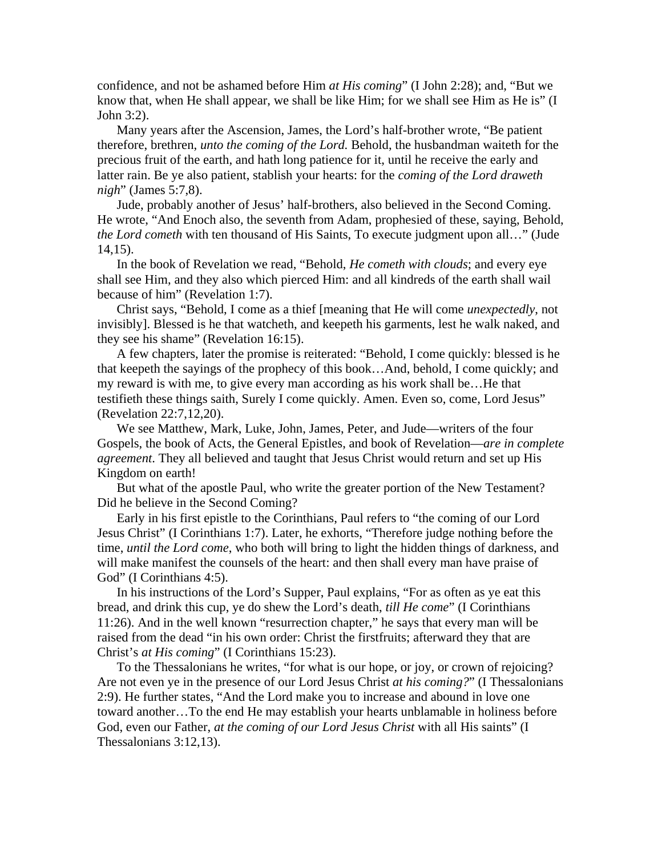confidence, and not be ashamed before Him *at His coming*" (I John 2:28); and, "But we know that, when He shall appear, we shall be like Him; for we shall see Him as He is" (I John 3:2).

Many years after the Ascension, James, the Lord's half-brother wrote, "Be patient therefore, brethren, *unto the coming of the Lord.* Behold, the husbandman waiteth for the precious fruit of the earth, and hath long patience for it, until he receive the early and latter rain. Be ye also patient, stablish your hearts: for the *coming of the Lord draweth nigh*" (James 5:7,8).

Jude, probably another of Jesus' half-brothers, also believed in the Second Coming. He wrote, "And Enoch also, the seventh from Adam, prophesied of these, saying, Behold, *the Lord cometh* with ten thousand of His Saints, To execute judgment upon all…" (Jude 14,15).

In the book of Revelation we read, "Behold, *He cometh with clouds*; and every eye shall see Him, and they also which pierced Him: and all kindreds of the earth shall wail because of him" (Revelation 1:7).

Christ says, "Behold, I come as a thief [meaning that He will come *unexpectedly*, not invisibly]. Blessed is he that watcheth, and keepeth his garments, lest he walk naked, and they see his shame" (Revelation 16:15).

A few chapters, later the promise is reiterated: "Behold, I come quickly: blessed is he that keepeth the sayings of the prophecy of this book…And, behold, I come quickly; and my reward is with me, to give every man according as his work shall be…He that testifieth these things saith, Surely I come quickly. Amen. Even so, come, Lord Jesus" (Revelation 22:7,12,20).

We see Matthew, Mark, Luke, John, James, Peter, and Jude—writers of the four Gospels, the book of Acts, the General Epistles, and book of Revelation—*are in complete agreement*. They all believed and taught that Jesus Christ would return and set up His Kingdom on earth!

But what of the apostle Paul, who write the greater portion of the New Testament? Did he believe in the Second Coming?

Early in his first epistle to the Corinthians, Paul refers to "the coming of our Lord Jesus Christ" (I Corinthians 1:7). Later, he exhorts, "Therefore judge nothing before the time, *until the Lord come*, who both will bring to light the hidden things of darkness, and will make manifest the counsels of the heart: and then shall every man have praise of God" (I Corinthians 4:5).

In his instructions of the Lord's Supper, Paul explains, "For as often as ye eat this bread, and drink this cup, ye do shew the Lord's death, *till He come*" (I Corinthians 11:26). And in the well known "resurrection chapter," he says that every man will be raised from the dead "in his own order: Christ the firstfruits; afterward they that are Christ's *at His coming*" (I Corinthians 15:23).

To the Thessalonians he writes, "for what is our hope, or joy, or crown of rejoicing? Are not even ye in the presence of our Lord Jesus Christ *at his coming?*" (I Thessalonians 2:9). He further states, "And the Lord make you to increase and abound in love one toward another…To the end He may establish your hearts unblamable in holiness before God, even our Father, *at the coming of our Lord Jesus Christ* with all His saints" (I Thessalonians 3:12,13).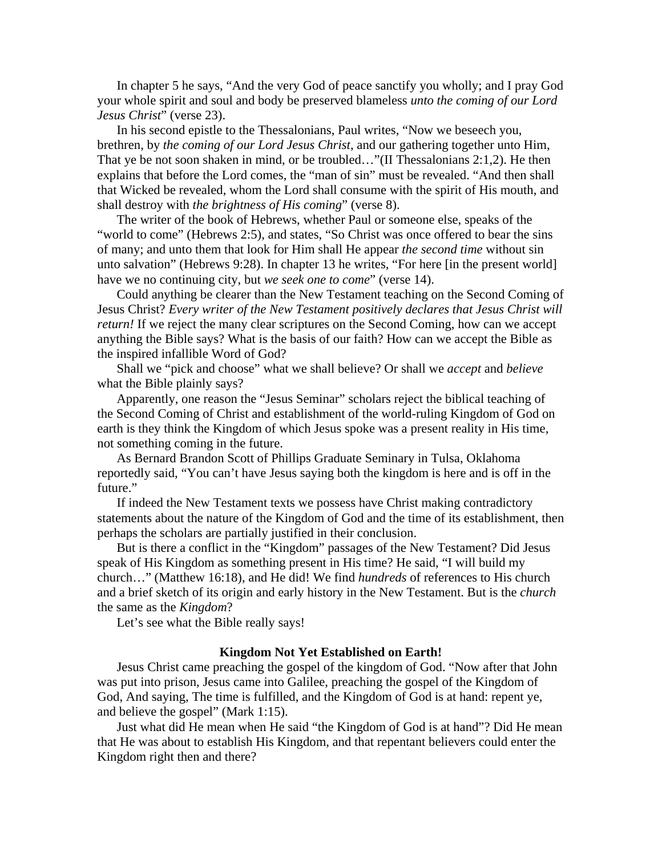In chapter 5 he says, "And the very God of peace sanctify you wholly; and I pray God your whole spirit and soul and body be preserved blameless *unto the coming of our Lord Jesus Christ*" (verse 23).

In his second epistle to the Thessalonians, Paul writes, "Now we beseech you, brethren, by *the coming of our Lord Jesus Christ*, and our gathering together unto Him, That ye be not soon shaken in mind, or be troubled…"(II Thessalonians 2:1,2). He then explains that before the Lord comes, the "man of sin" must be revealed. "And then shall that Wicked be revealed, whom the Lord shall consume with the spirit of His mouth, and shall destroy with *the brightness of His coming*" (verse 8).

The writer of the book of Hebrews, whether Paul or someone else, speaks of the "world to come" (Hebrews 2:5), and states, "So Christ was once offered to bear the sins of many; and unto them that look for Him shall He appear *the second time* without sin unto salvation" (Hebrews 9:28). In chapter 13 he writes, "For here [in the present world] have we no continuing city, but *we seek one to come*" (verse 14).

Could anything be clearer than the New Testament teaching on the Second Coming of Jesus Christ? *Every writer of the New Testament positively declares that Jesus Christ will return!* If we reject the many clear scriptures on the Second Coming, how can we accept anything the Bible says? What is the basis of our faith? How can we accept the Bible as the inspired infallible Word of God?

Shall we "pick and choose" what we shall believe? Or shall we *accept* and *believe* what the Bible plainly says?

Apparently, one reason the "Jesus Seminar" scholars reject the biblical teaching of the Second Coming of Christ and establishment of the world-ruling Kingdom of God on earth is they think the Kingdom of which Jesus spoke was a present reality in His time, not something coming in the future.

As Bernard Brandon Scott of Phillips Graduate Seminary in Tulsa, Oklahoma reportedly said, "You can't have Jesus saying both the kingdom is here and is off in the future."

If indeed the New Testament texts we possess have Christ making contradictory statements about the nature of the Kingdom of God and the time of its establishment, then perhaps the scholars are partially justified in their conclusion.

But is there a conflict in the "Kingdom" passages of the New Testament? Did Jesus speak of His Kingdom as something present in His time? He said, "I will build my church…" (Matthew 16:18), and He did! We find *hundreds* of references to His church and a brief sketch of its origin and early history in the New Testament. But is the *church* the same as the *Kingdom*?

Let's see what the Bible really says!

### **Kingdom Not Yet Established on Earth!**

Jesus Christ came preaching the gospel of the kingdom of God. "Now after that John was put into prison, Jesus came into Galilee, preaching the gospel of the Kingdom of God, And saying, The time is fulfilled, and the Kingdom of God is at hand: repent ye, and believe the gospel" (Mark 1:15).

Just what did He mean when He said "the Kingdom of God is at hand"? Did He mean that He was about to establish His Kingdom, and that repentant believers could enter the Kingdom right then and there?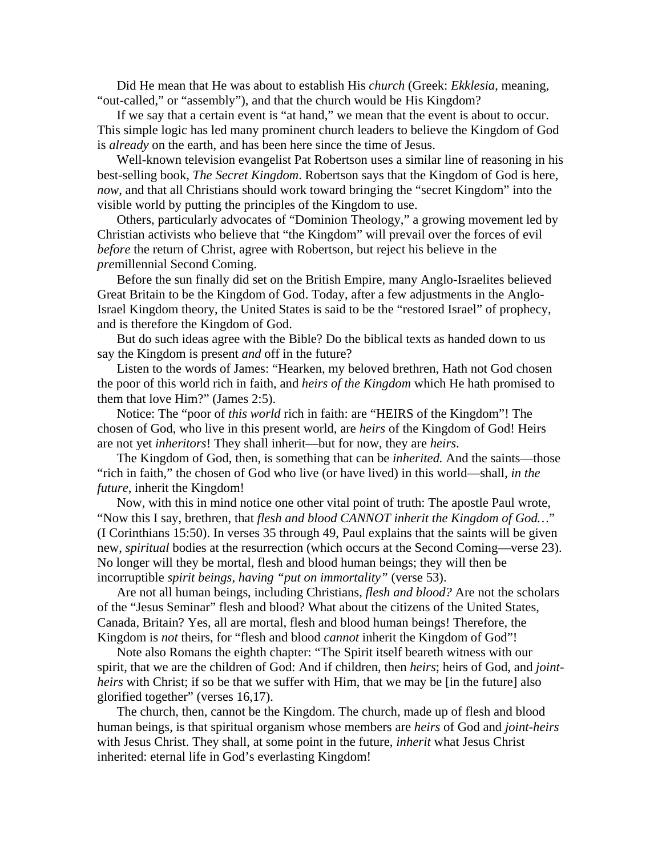Did He mean that He was about to establish His *church* (Greek: *Ekklesia*, meaning, "out-called," or "assembly"), and that the church would be His Kingdom?

If we say that a certain event is "at hand," we mean that the event is about to occur. This simple logic has led many prominent church leaders to believe the Kingdom of God is *already* on the earth, and has been here since the time of Jesus.

Well-known television evangelist Pat Robertson uses a similar line of reasoning in his best-selling book, *The Secret Kingdom*. Robertson says that the Kingdom of God is here, *now*, and that all Christians should work toward bringing the "secret Kingdom" into the visible world by putting the principles of the Kingdom to use.

Others, particularly advocates of "Dominion Theology," a growing movement led by Christian activists who believe that "the Kingdom" will prevail over the forces of evil *before* the return of Christ, agree with Robertson, but reject his believe in the *pre*millennial Second Coming.

Before the sun finally did set on the British Empire, many Anglo-Israelites believed Great Britain to be the Kingdom of God. Today, after a few adjustments in the Anglo-Israel Kingdom theory, the United States is said to be the "restored Israel" of prophecy, and is therefore the Kingdom of God.

But do such ideas agree with the Bible? Do the biblical texts as handed down to us say the Kingdom is present *and* off in the future?

Listen to the words of James: "Hearken, my beloved brethren, Hath not God chosen the poor of this world rich in faith, and *heirs of the Kingdom* which He hath promised to them that love Him?" (James 2:5).

Notice: The "poor of *this world* rich in faith: are "HEIRS of the Kingdom"! The chosen of God, who live in this present world, are *heirs* of the Kingdom of God! Heirs are not yet *inheritors*! They shall inherit—but for now, they are *heirs*.

The Kingdom of God, then, is something that can be *inherited.* And the saints—those "rich in faith," the chosen of God who live (or have lived) in this world—shall, *in the future*, inherit the Kingdom!

Now, with this in mind notice one other vital point of truth: The apostle Paul wrote, "Now this I say, brethren, that *flesh and blood CANNOT inherit the Kingdom of God…*" (I Corinthians 15:50). In verses 35 through 49, Paul explains that the saints will be given new, *spiritual* bodies at the resurrection (which occurs at the Second Coming—verse 23). No longer will they be mortal, flesh and blood human beings; they will then be incorruptible *spirit beings, having "put on immortality"* (verse 53).

Are not all human beings, including Christians, *flesh and blood?* Are not the scholars of the "Jesus Seminar" flesh and blood? What about the citizens of the United States, Canada, Britain? Yes, all are mortal, flesh and blood human beings! Therefore, the Kingdom is *not* theirs, for "flesh and blood *cannot* inherit the Kingdom of God"!

Note also Romans the eighth chapter: "The Spirit itself beareth witness with our spirit, that we are the children of God: And if children, then *heirs*; heirs of God, and *jointheirs* with Christ; if so be that we suffer with Him, that we may be [in the future] also glorified together" (verses 16,17).

The church, then, cannot be the Kingdom. The church, made up of flesh and blood human beings, is that spiritual organism whose members are *heirs* of God and *joint-heirs*  with Jesus Christ. They shall, at some point in the future, *inherit* what Jesus Christ inherited: eternal life in God's everlasting Kingdom!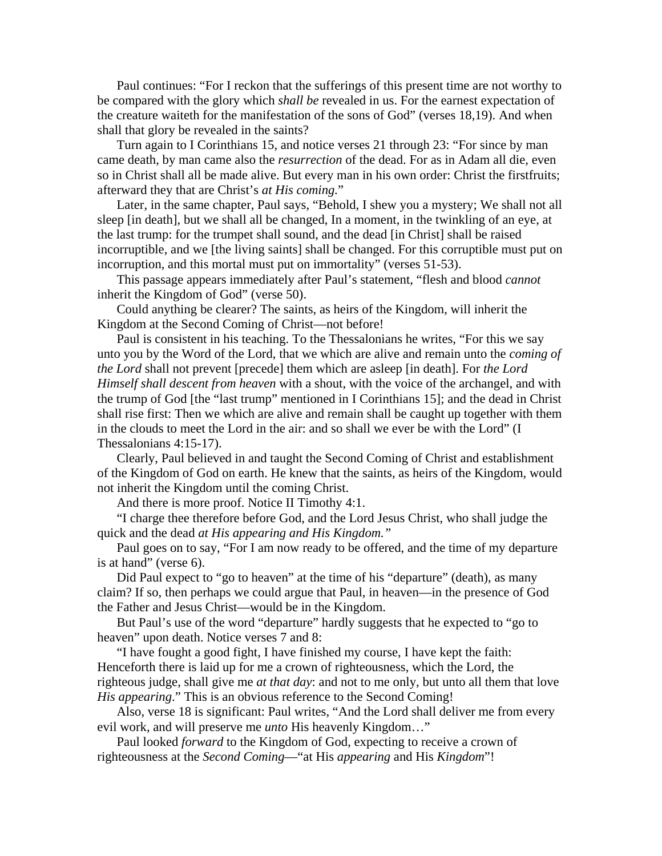Paul continues: "For I reckon that the sufferings of this present time are not worthy to be compared with the glory which *shall be* revealed in us. For the earnest expectation of the creature waiteth for the manifestation of the sons of God" (verses 18,19). And when shall that glory be revealed in the saints?

Turn again to I Corinthians 15, and notice verses 21 through 23: "For since by man came death, by man came also the *resurrection* of the dead. For as in Adam all die, even so in Christ shall all be made alive. But every man in his own order: Christ the firstfruits; afterward they that are Christ's *at His coming.*"

Later, in the same chapter, Paul says, "Behold, I shew you a mystery; We shall not all sleep [in death], but we shall all be changed, In a moment, in the twinkling of an eye, at the last trump: for the trumpet shall sound, and the dead [in Christ] shall be raised incorruptible, and we [the living saints] shall be changed. For this corruptible must put on incorruption, and this mortal must put on immortality" (verses 51-53).

This passage appears immediately after Paul's statement, "flesh and blood *cannot* inherit the Kingdom of God" (verse 50).

Could anything be clearer? The saints, as heirs of the Kingdom, will inherit the Kingdom at the Second Coming of Christ—not before!

Paul is consistent in his teaching. To the Thessalonians he writes, "For this we say unto you by the Word of the Lord, that we which are alive and remain unto the *coming of the Lord* shall not prevent [precede] them which are asleep [in death]. For *the Lord Himself shall descent from heaven* with a shout, with the voice of the archangel, and with the trump of God [the "last trump" mentioned in I Corinthians 15]; and the dead in Christ shall rise first: Then we which are alive and remain shall be caught up together with them in the clouds to meet the Lord in the air: and so shall we ever be with the Lord" (I Thessalonians 4:15-17).

Clearly, Paul believed in and taught the Second Coming of Christ and establishment of the Kingdom of God on earth. He knew that the saints, as heirs of the Kingdom, would not inherit the Kingdom until the coming Christ.

And there is more proof. Notice II Timothy 4:1.

"I charge thee therefore before God, and the Lord Jesus Christ, who shall judge the quick and the dead *at His appearing and His Kingdom."*

Paul goes on to say, "For I am now ready to be offered, and the time of my departure is at hand" (verse 6).

Did Paul expect to "go to heaven" at the time of his "departure" (death), as many claim? If so, then perhaps we could argue that Paul, in heaven—in the presence of God the Father and Jesus Christ—would be in the Kingdom.

But Paul's use of the word "departure" hardly suggests that he expected to "go to heaven" upon death. Notice verses 7 and 8:

"I have fought a good fight, I have finished my course, I have kept the faith: Henceforth there is laid up for me a crown of righteousness, which the Lord, the righteous judge, shall give me *at that day*: and not to me only, but unto all them that love *His appearing*." This is an obvious reference to the Second Coming!

Also, verse 18 is significant: Paul writes, "And the Lord shall deliver me from every evil work, and will preserve me *unto* His heavenly Kingdom…"

Paul looked *forward* to the Kingdom of God, expecting to receive a crown of righteousness at the *Second Coming*—"at His *appearing* and His *Kingdom*"!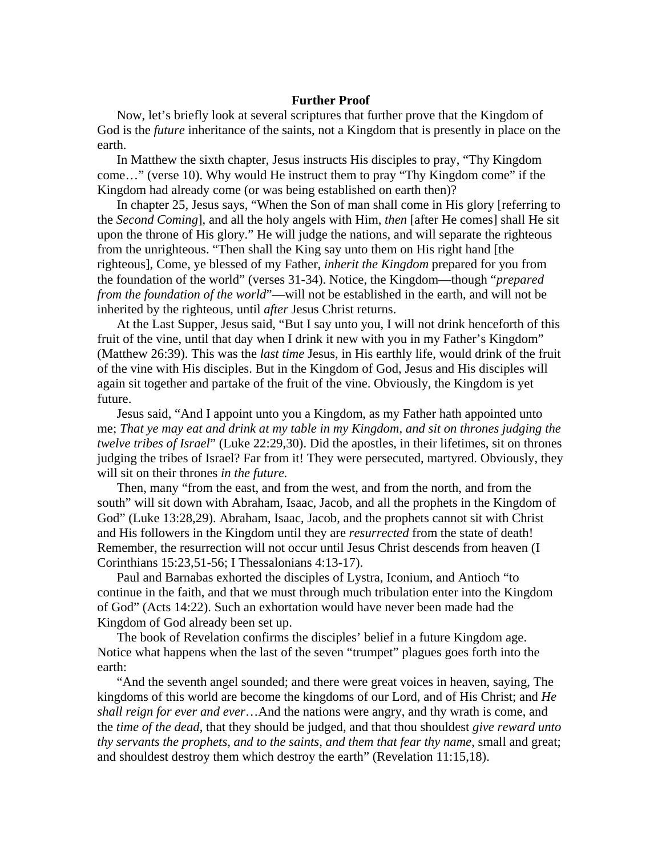### **Further Proof**

Now, let's briefly look at several scriptures that further prove that the Kingdom of God is the *future* inheritance of the saints, not a Kingdom that is presently in place on the earth.

In Matthew the sixth chapter, Jesus instructs His disciples to pray, "Thy Kingdom come…" (verse 10). Why would He instruct them to pray "Thy Kingdom come" if the Kingdom had already come (or was being established on earth then)?

In chapter 25, Jesus says, "When the Son of man shall come in His glory [referring to the *Second Coming*], and all the holy angels with Him, *then* [after He comes] shall He sit upon the throne of His glory." He will judge the nations, and will separate the righteous from the unrighteous. "Then shall the King say unto them on His right hand [the righteous], Come, ye blessed of my Father, *inherit the Kingdom* prepared for you from the foundation of the world" (verses 31-34). Notice, the Kingdom—though "*prepared from the foundation of the world*"—will not be established in the earth, and will not be inherited by the righteous, until *after* Jesus Christ returns.

At the Last Supper, Jesus said, "But I say unto you, I will not drink henceforth of this fruit of the vine, until that day when I drink it new with you in my Father's Kingdom" (Matthew 26:39). This was the *last time* Jesus, in His earthly life, would drink of the fruit of the vine with His disciples. But in the Kingdom of God, Jesus and His disciples will again sit together and partake of the fruit of the vine. Obviously, the Kingdom is yet future.

Jesus said, "And I appoint unto you a Kingdom, as my Father hath appointed unto me; *That ye may eat and drink at my table in my Kingdom, and sit on thrones judging the twelve tribes of Israel*" (Luke 22:29,30). Did the apostles, in their lifetimes, sit on thrones judging the tribes of Israel? Far from it! They were persecuted, martyred. Obviously, they will sit on their thrones *in the future.*

Then, many "from the east, and from the west, and from the north, and from the south" will sit down with Abraham, Isaac, Jacob, and all the prophets in the Kingdom of God" (Luke 13:28,29). Abraham, Isaac, Jacob, and the prophets cannot sit with Christ and His followers in the Kingdom until they are *resurrected* from the state of death! Remember, the resurrection will not occur until Jesus Christ descends from heaven (I Corinthians 15:23,51-56; I Thessalonians 4:13-17).

Paul and Barnabas exhorted the disciples of Lystra, Iconium, and Antioch "to continue in the faith, and that we must through much tribulation enter into the Kingdom of God" (Acts 14:22). Such an exhortation would have never been made had the Kingdom of God already been set up.

The book of Revelation confirms the disciples' belief in a future Kingdom age. Notice what happens when the last of the seven "trumpet" plagues goes forth into the earth:

"And the seventh angel sounded; and there were great voices in heaven, saying, The kingdoms of this world are become the kingdoms of our Lord, and of His Christ; and *He shall reign for ever and ever*…And the nations were angry, and thy wrath is come, and the *time of the dead*, that they should be judged, and that thou shouldest *give reward unto thy servants the prophets, and to the saints, and them that fear thy name*, small and great; and shouldest destroy them which destroy the earth" (Revelation 11:15,18).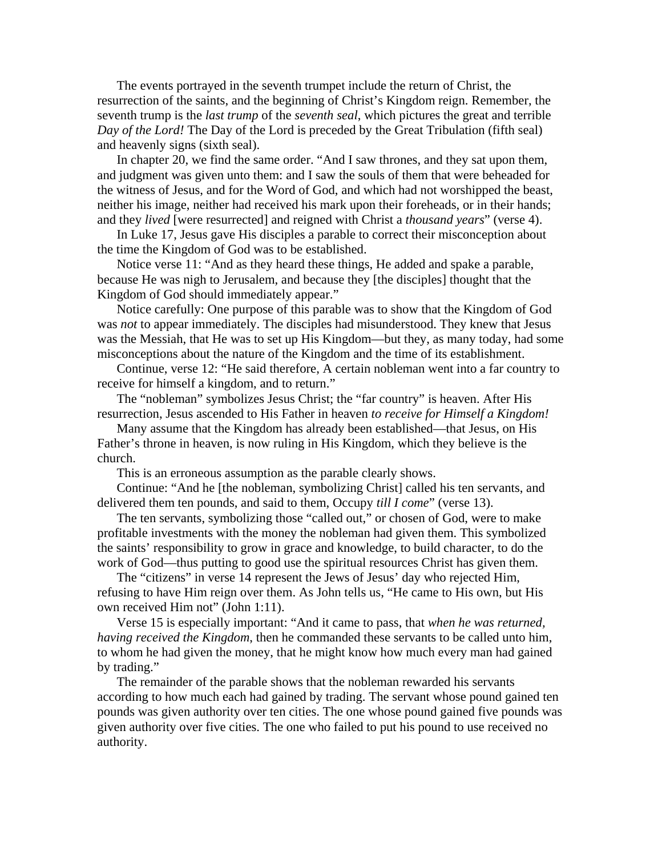The events portrayed in the seventh trumpet include the return of Christ, the resurrection of the saints, and the beginning of Christ's Kingdom reign. Remember, the seventh trump is the *last trump* of the *seventh seal*, which pictures the great and terrible *Day of the Lord!* The Day of the Lord is preceded by the Great Tribulation (fifth seal) and heavenly signs (sixth seal).

In chapter 20, we find the same order. "And I saw thrones, and they sat upon them, and judgment was given unto them: and I saw the souls of them that were beheaded for the witness of Jesus, and for the Word of God, and which had not worshipped the beast, neither his image, neither had received his mark upon their foreheads, or in their hands; and they *lived* [were resurrected] and reigned with Christ a *thousand years*" (verse 4).

In Luke 17, Jesus gave His disciples a parable to correct their misconception about the time the Kingdom of God was to be established.

Notice verse 11: "And as they heard these things, He added and spake a parable, because He was nigh to Jerusalem, and because they [the disciples] thought that the Kingdom of God should immediately appear."

Notice carefully: One purpose of this parable was to show that the Kingdom of God was *not* to appear immediately. The disciples had misunderstood. They knew that Jesus was the Messiah, that He was to set up His Kingdom—but they, as many today, had some misconceptions about the nature of the Kingdom and the time of its establishment.

Continue, verse 12: "He said therefore, A certain nobleman went into a far country to receive for himself a kingdom, and to return."

The "nobleman" symbolizes Jesus Christ; the "far country" is heaven. After His resurrection, Jesus ascended to His Father in heaven *to receive for Himself a Kingdom!*

Many assume that the Kingdom has already been established—that Jesus, on His Father's throne in heaven, is now ruling in His Kingdom, which they believe is the church.

This is an erroneous assumption as the parable clearly shows.

Continue: "And he [the nobleman, symbolizing Christ] called his ten servants, and delivered them ten pounds, and said to them, Occupy *till I come*" (verse 13).

The ten servants, symbolizing those "called out," or chosen of God, were to make profitable investments with the money the nobleman had given them. This symbolized the saints' responsibility to grow in grace and knowledge, to build character, to do the work of God—thus putting to good use the spiritual resources Christ has given them.

The "citizens" in verse 14 represent the Jews of Jesus' day who rejected Him, refusing to have Him reign over them. As John tells us, "He came to His own, but His own received Him not" (John 1:11).

Verse 15 is especially important: "And it came to pass, that *when he was returned, having received the Kingdom*, then he commanded these servants to be called unto him, to whom he had given the money, that he might know how much every man had gained by trading."

The remainder of the parable shows that the nobleman rewarded his servants according to how much each had gained by trading. The servant whose pound gained ten pounds was given authority over ten cities. The one whose pound gained five pounds was given authority over five cities. The one who failed to put his pound to use received no authority.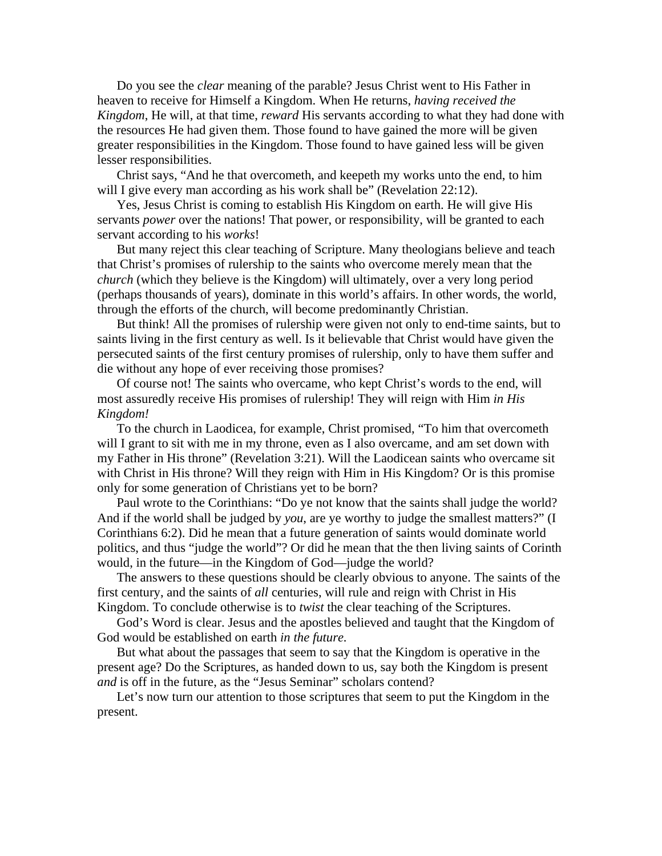Do you see the *clear* meaning of the parable? Jesus Christ went to His Father in heaven to receive for Himself a Kingdom. When He returns, *having received the Kingdom*, He will, at that time, *reward* His servants according to what they had done with the resources He had given them. Those found to have gained the more will be given greater responsibilities in the Kingdom. Those found to have gained less will be given lesser responsibilities.

Christ says, "And he that overcometh, and keepeth my works unto the end, to him will I give every man according as his work shall be" (Revelation 22:12).

Yes, Jesus Christ is coming to establish His Kingdom on earth. He will give His servants *power* over the nations! That power, or responsibility, will be granted to each servant according to his *works*!

But many reject this clear teaching of Scripture. Many theologians believe and teach that Christ's promises of rulership to the saints who overcome merely mean that the *church* (which they believe is the Kingdom) will ultimately, over a very long period (perhaps thousands of years), dominate in this world's affairs. In other words, the world, through the efforts of the church, will become predominantly Christian.

But think! All the promises of rulership were given not only to end-time saints, but to saints living in the first century as well. Is it believable that Christ would have given the persecuted saints of the first century promises of rulership, only to have them suffer and die without any hope of ever receiving those promises?

Of course not! The saints who overcame, who kept Christ's words to the end, will most assuredly receive His promises of rulership! They will reign with Him *in His Kingdom!*

To the church in Laodicea, for example, Christ promised, "To him that overcometh will I grant to sit with me in my throne, even as I also overcame, and am set down with my Father in His throne" (Revelation 3:21). Will the Laodicean saints who overcame sit with Christ in His throne? Will they reign with Him in His Kingdom? Or is this promise only for some generation of Christians yet to be born?

Paul wrote to the Corinthians: "Do ye not know that the saints shall judge the world? And if the world shall be judged by *you*, are ye worthy to judge the smallest matters?" (I Corinthians 6:2). Did he mean that a future generation of saints would dominate world politics, and thus "judge the world"? Or did he mean that the then living saints of Corinth would, in the future—in the Kingdom of God—judge the world?

The answers to these questions should be clearly obvious to anyone. The saints of the first century, and the saints of *all* centuries, will rule and reign with Christ in His Kingdom. To conclude otherwise is to *twist* the clear teaching of the Scriptures.

God's Word is clear. Jesus and the apostles believed and taught that the Kingdom of God would be established on earth *in the future.*

But what about the passages that seem to say that the Kingdom is operative in the present age? Do the Scriptures, as handed down to us, say both the Kingdom is present *and* is off in the future, as the "Jesus Seminar" scholars contend?

Let's now turn our attention to those scriptures that seem to put the Kingdom in the present.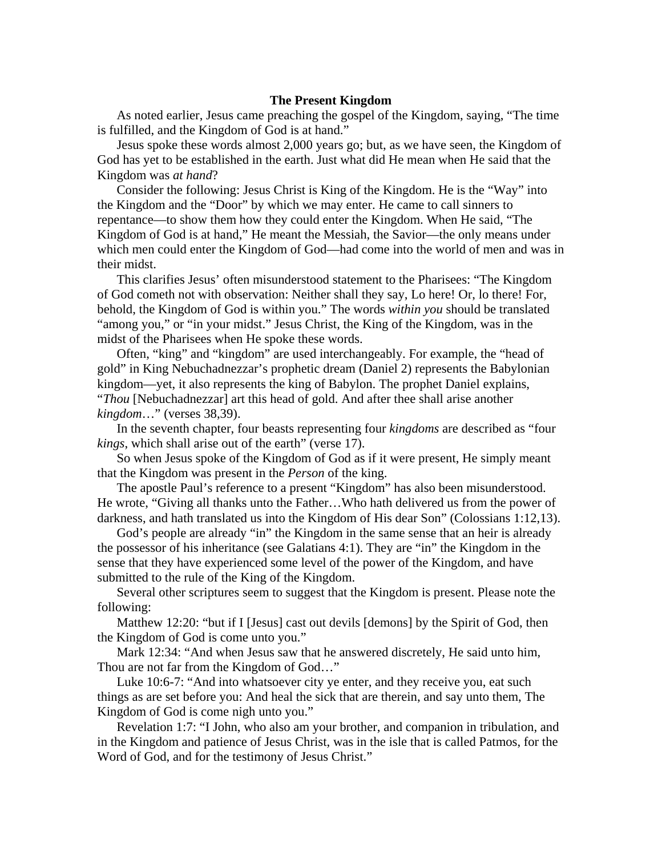### **The Present Kingdom**

As noted earlier, Jesus came preaching the gospel of the Kingdom, saying, "The time is fulfilled, and the Kingdom of God is at hand."

Jesus spoke these words almost 2,000 years go; but, as we have seen, the Kingdom of God has yet to be established in the earth. Just what did He mean when He said that the Kingdom was *at hand*?

Consider the following: Jesus Christ is King of the Kingdom. He is the "Way" into the Kingdom and the "Door" by which we may enter. He came to call sinners to repentance—to show them how they could enter the Kingdom. When He said, "The Kingdom of God is at hand," He meant the Messiah, the Savior—the only means under which men could enter the Kingdom of God—had come into the world of men and was in their midst.

This clarifies Jesus' often misunderstood statement to the Pharisees: "The Kingdom of God cometh not with observation: Neither shall they say, Lo here! Or, lo there! For, behold, the Kingdom of God is within you." The words *within you* should be translated "among you," or "in your midst." Jesus Christ, the King of the Kingdom, was in the midst of the Pharisees when He spoke these words.

Often, "king" and "kingdom" are used interchangeably. For example, the "head of gold" in King Nebuchadnezzar's prophetic dream (Daniel 2) represents the Babylonian kingdom—yet, it also represents the king of Babylon. The prophet Daniel explains, "*Thou* [Nebuchadnezzar] art this head of gold. And after thee shall arise another *kingdom*…" (verses 38,39).

In the seventh chapter, four beasts representing four *kingdoms* are described as "four *kings*, which shall arise out of the earth" (verse 17).

So when Jesus spoke of the Kingdom of God as if it were present, He simply meant that the Kingdom was present in the *Person* of the king.

The apostle Paul's reference to a present "Kingdom" has also been misunderstood. He wrote, "Giving all thanks unto the Father…Who hath delivered us from the power of darkness, and hath translated us into the Kingdom of His dear Son" (Colossians 1:12,13).

God's people are already "in" the Kingdom in the same sense that an heir is already the possessor of his inheritance (see Galatians 4:1). They are "in" the Kingdom in the sense that they have experienced some level of the power of the Kingdom, and have submitted to the rule of the King of the Kingdom.

Several other scriptures seem to suggest that the Kingdom is present. Please note the following:

Matthew 12:20: "but if I [Jesus] cast out devils [demons] by the Spirit of God, then the Kingdom of God is come unto you."

Mark 12:34: "And when Jesus saw that he answered discretely, He said unto him, Thou are not far from the Kingdom of God…"

Luke 10:6-7: "And into whatsoever city ye enter, and they receive you, eat such things as are set before you: And heal the sick that are therein, and say unto them, The Kingdom of God is come nigh unto you."

Revelation 1:7: "I John, who also am your brother, and companion in tribulation, and in the Kingdom and patience of Jesus Christ, was in the isle that is called Patmos, for the Word of God, and for the testimony of Jesus Christ."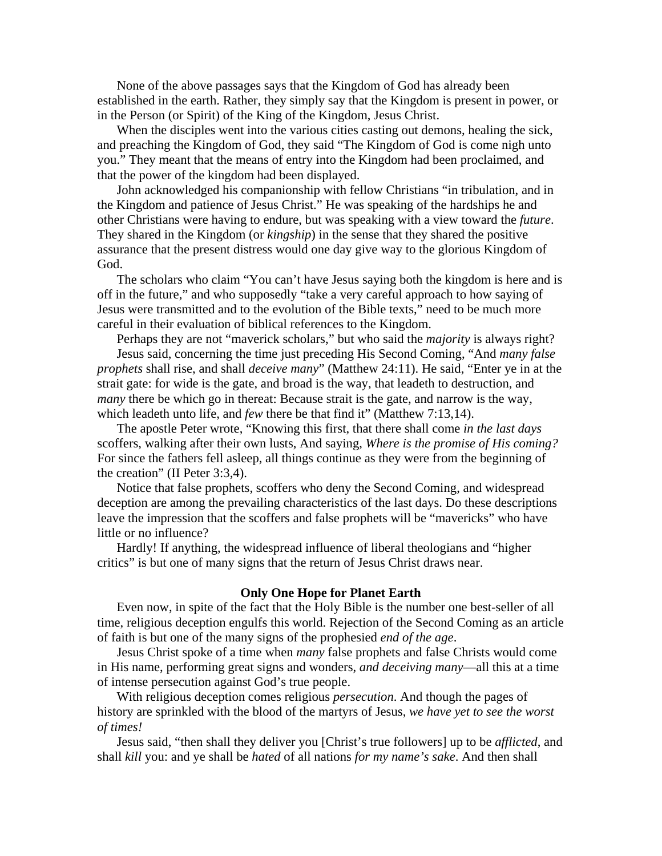None of the above passages says that the Kingdom of God has already been established in the earth. Rather, they simply say that the Kingdom is present in power, or in the Person (or Spirit) of the King of the Kingdom, Jesus Christ.

When the disciples went into the various cities casting out demons, healing the sick, and preaching the Kingdom of God, they said "The Kingdom of God is come nigh unto you." They meant that the means of entry into the Kingdom had been proclaimed, and that the power of the kingdom had been displayed.

John acknowledged his companionship with fellow Christians "in tribulation, and in the Kingdom and patience of Jesus Christ." He was speaking of the hardships he and other Christians were having to endure, but was speaking with a view toward the *future*. They shared in the Kingdom (or *kingship*) in the sense that they shared the positive assurance that the present distress would one day give way to the glorious Kingdom of God.

The scholars who claim "You can't have Jesus saying both the kingdom is here and is off in the future," and who supposedly "take a very careful approach to how saying of Jesus were transmitted and to the evolution of the Bible texts," need to be much more careful in their evaluation of biblical references to the Kingdom.

Perhaps they are not "maverick scholars," but who said the *majority* is always right?

Jesus said, concerning the time just preceding His Second Coming, "And *many false prophets* shall rise, and shall *deceive many*" (Matthew 24:11). He said, "Enter ye in at the strait gate: for wide is the gate, and broad is the way, that leadeth to destruction, and *many* there be which go in thereat: Because strait is the gate, and narrow is the way, which leadeth unto life, and *few* there be that find it" (Matthew 7:13,14).

The apostle Peter wrote, "Knowing this first, that there shall come *in the last days* scoffers, walking after their own lusts, And saying, *Where is the promise of His coming?* For since the fathers fell asleep, all things continue as they were from the beginning of the creation" (II Peter 3:3,4).

Notice that false prophets, scoffers who deny the Second Coming, and widespread deception are among the prevailing characteristics of the last days. Do these descriptions leave the impression that the scoffers and false prophets will be "mavericks" who have little or no influence?

Hardly! If anything, the widespread influence of liberal theologians and "higher critics" is but one of many signs that the return of Jesus Christ draws near.

### **Only One Hope for Planet Earth**

Even now, in spite of the fact that the Holy Bible is the number one best-seller of all time, religious deception engulfs this world. Rejection of the Second Coming as an article of faith is but one of the many signs of the prophesied *end of the age*.

Jesus Christ spoke of a time when *many* false prophets and false Christs would come in His name, performing great signs and wonders, *and deceiving many*—all this at a time of intense persecution against God's true people.

With religious deception comes religious *persecution*. And though the pages of history are sprinkled with the blood of the martyrs of Jesus, *we have yet to see the worst of times!*

Jesus said, "then shall they deliver you [Christ's true followers] up to be *afflicted*, and shall *kill* you: and ye shall be *hated* of all nations *for my name's sake*. And then shall